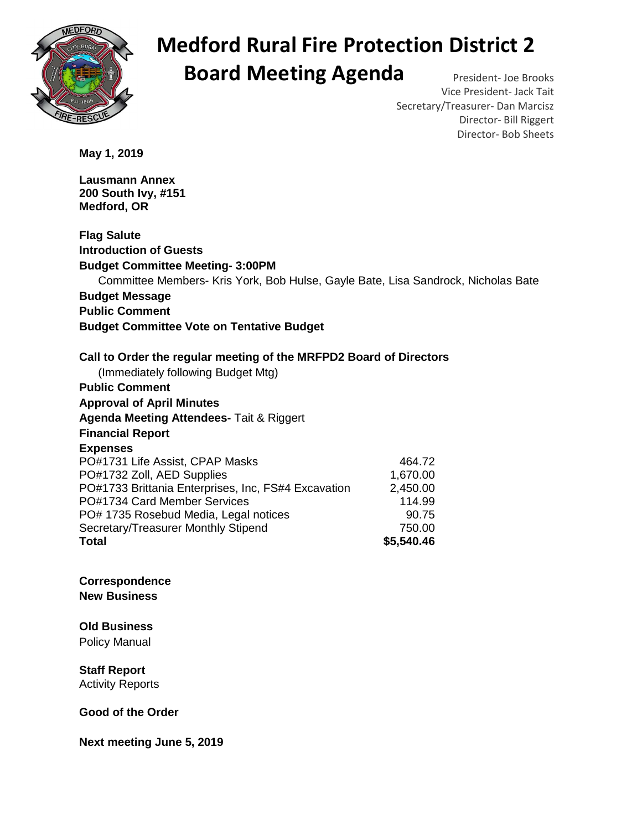

## **Medford Rural Fire Protection District 2 Board Meeting Agenda** President- Joe Brooks

Vice President- Jack Tait Secretary/Treasurer- Dan Marcisz Director- Bill Riggert Director- Bob Sheets

**May 1, 2019** 

**Lausmann Annex 200 South Ivy, #151 Medford, OR** 

**Flag Salute Introduction of Guests Budget Committee Meeting- 3:00PM**  Committee Members- Kris York, Bob Hulse, Gayle Bate, Lisa Sandrock, Nicholas Bate **Budget Message Public Comment Budget Committee Vote on Tentative Budget Call to Order the regular meeting of the MRFPD2 Board of Directors**  (Immediately following Budget Mtg) **Public Comment Approval of April Minutes Agenda Meeting Attendees-** Tait & Riggert **Financial Report Expenses**  PO#1731 Life Assist, CPAP Masks 464.72 PO#1732 Zoll, AED Supplies 1,670.00 PO#1733 Brittania Enterprises, Inc, FS#4 Excavation 2,450.00 PO#1734 Card Member Services 114.99 PO# 1735 Rosebud Media, Legal notices 90.75 Secretary/Treasurer Monthly Stipend 750.00 **Total \$5,540.46**

**Correspondence New Business**

**Old Business** 

Policy Manual

**Staff Report**  Activity Reports

**Good of the Order** 

**Next meeting June 5, 2019**